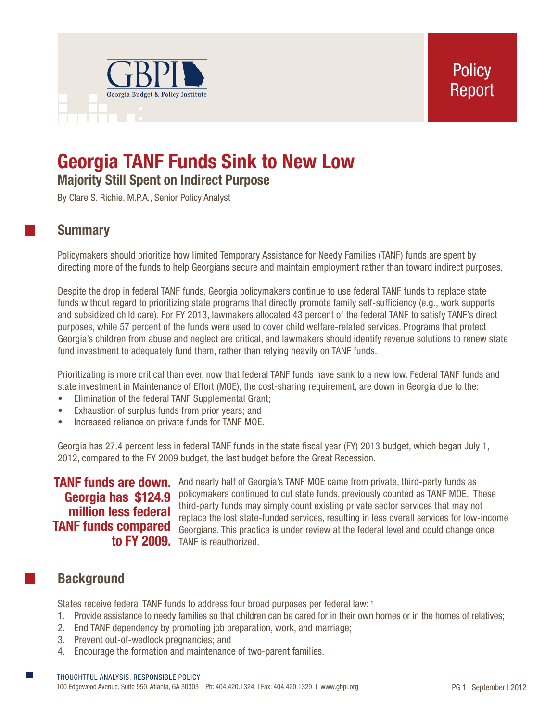

# **Georgia TANF Funds Sink to New Low Majority Still Spent on Indirect Purpose**

By Clare S. Richie, M.P.A., Senior Policy Analyst

## **Summary**

Policymakers should prioritize how limited Temporary Assistance for Needy Families (TANF) funds are spent by directing more of the funds to help Georgians secure and maintain employment rather than toward indirect purposes.

Despite the drop in federal TANF funds, Georgia policymakers continue to use federal TANF funds to replace state funds without regard to prioritizing state programs that directly promote family self-sufficiency (e.g., work supports and subsidized child care). For FY 2013, lawmakers allocated 43 percent of the federal TANF to satisfy TANF's direct purposes, while 57 percent of the funds were used to cover child welfare-related services. Programs that protect Georgia's children from abuse and neglect are critical, and lawmakers should identify revenue solutions to renew state fund investment to adequately fund them, rather than relying heavily on TANF funds.

Prioritizating is more critical than ever, now that federal TANF funds have sank to a new low. Federal TANF funds and state investment in Maintenance of Effort (MOE), the cost-sharing requirement, are down in Georgia due to the:

- Elimination of the federal TANF Supplemental Grant;
- Exhaustion of surplus funds from prior years; and
- Increased reliance on private funds for TANF MOE.

Georgia has 27.4 percent less in federal TANF funds in the state fiscal year (FY) 2013 budget, which began July 1, 2012, compared to the FY 2009 budget, the last budget before the Great Recession.

# **Georgia has \$124.9 million less federal**

TANF funds are down. And nearly half of Georgia's TANF MOE came from private, third-party funds as policymakers continued to cut state funds, previously counted as TANF MOE. These third-party funds may simply count existing private sector services that may not replace the lost state-funded services, resulting in less overall services for low-income **TANF funds compared** Georgians. This practice is under review at the federal level and could change once to FY 2009. TANF is reauthorized.

## **Background**

States receive federal TANF funds to address four broad purposes per federal law: **<sup>1</sup>**

- 1. Provide assistance to needy families so that children can be cared for in their own homes or in the homes of relatives;
- 2. End TANF dependency by promoting job preparation, work, and marriage;
- 3. Prevent out-of-wedlock pregnancies; and
- 4. Encourage the formation and maintenance of two-parent families.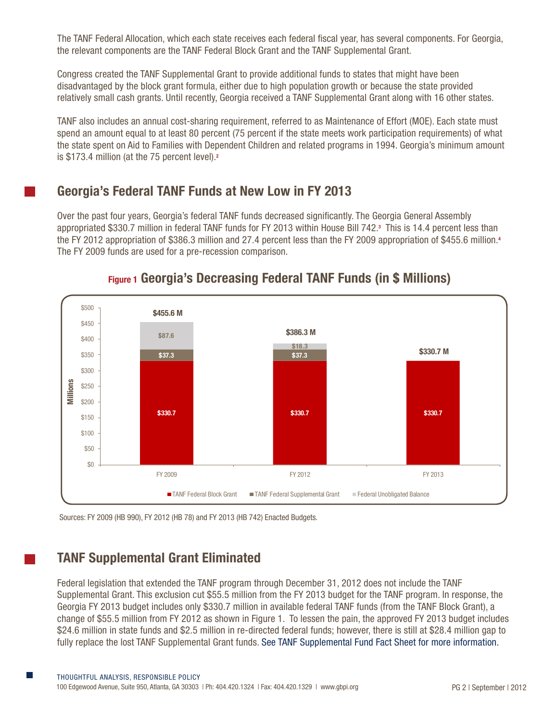The TANF Federal Allocation, which each state receives each federal fiscal year, has several components. For Georgia, the relevant components are the TANF Federal Block Grant and the TANF Supplemental Grant.

Congress created the TANF Supplemental Grant to provide additional funds to states that might have been disadvantaged by the block grant formula, either due to high population growth or because the state provided relatively small cash grants. Until recently, Georgia received a TANF Supplemental Grant along with 16 other states.

TANF also includes an annual cost-sharing requirement, referred to as Maintenance of Effort (MOE). Each state must spend an amount equal to at least 80 percent (75 percent if the state meets work participation requirements) of what the state spent on Aid to Families with Dependent Children and related programs in 1994. Georgia's minimum amount is \$173.4 million (at the 75 percent level).**<sup>2</sup>**

## **Georgia's Federal TANF Funds at New Low in FY 2013**

Over the past four years, Georgia's federal TANF funds decreased significantly. The Georgia General Assembly appropriated \$330.7 million in federal TANF funds for FY 2013 within House Bill 742.**<sup>3</sup>** This is 14.4 percent less than the FY 2012 appropriation of \$386.3 million and 27.4 percent less than the FY 2009 appropriation of \$455.6 million.**<sup>4</sup>** The FY 2009 funds are used for a pre-recession comparison.



## **Figure 1 Georgia's Decreasing Federal TANF Funds (in \$ Millions)**

## **TANF Supplemental Grant Eliminated**

Federal legislation that extended the TANF program through December 31, 2012 does not include the TANF Supplemental Grant. This exclusion cut \$55.5 million from the FY 2013 budget for the TANF program. In response, the Georgia FY 2013 budget includes only \$330.7 million in available federal TANF funds (from the TANF Block Grant), a change of \$55.5 million from FY 2012 as shown in Figure 1. To lessen the pain, the approved FY 2013 budget includes \$24.6 million in state funds and \$2.5 million in re-directed federal funds; however, there is still at \$28.4 million gap to fully replace the lost TANF Supplemental Grant funds. [See TANF Supplemental Fund Fact Sheet for more information.](http://gbpi.org/temporary-assistance-to-needy-families-tanf)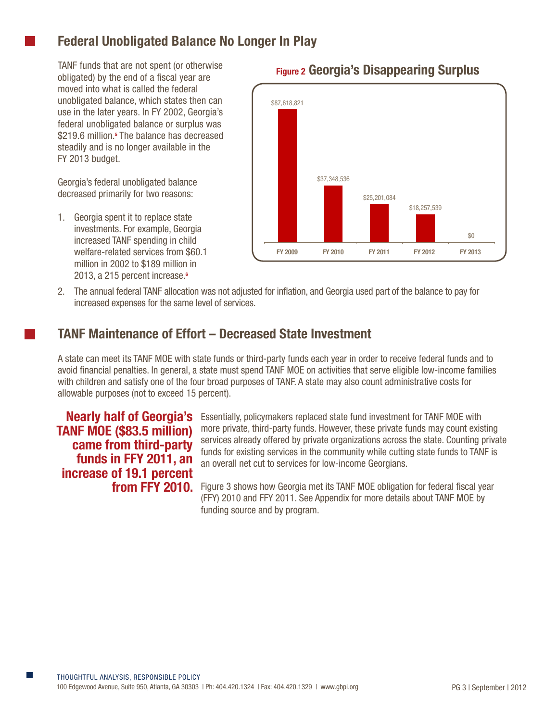# **Federal Unobligated Balance No Longer In Play**

TANF funds that are not spent (or otherwise obligated) by the end of a fiscal year are moved into what is called the federal unobligated balance, which states then can use in the later years. In FY 2002, Georgia's federal unobligated balance or surplus was \$219.6 million.<sup>5</sup> The balance has decreased steadily and is no longer available in the FY 2013 budget.

Georgia's federal unobligated balance decreased primarily for two reasons:

1. Georgia spent it to replace state investments. For example, Georgia increased TANF spending in child welfare-related services from \$60.1 million in 2002 to \$189 million in 2013, a 215 percent increase.**<sup>6</sup>**



## **Figure 2 Georgia's Disappearing Surplus**

2. The annual federal TANF allocation was not adjusted for inflation, and Georgia used part of the balance to pay for increased expenses for the same level of services.

## **TANF Maintenance of Effort – Decreased State Investment**

A state can meet its TANF MOE with state funds or third-party funds each year in order to receive federal funds and to avoid financial penalties. In general, a state must spend TANF MOE on activities that serve eligible low-income families with children and satisfy one of the four broad purposes of TANF. A state may also count administrative costs for allowable purposes (not to exceed 15 percent).

**Nearly half of Georgia's TANF MOE (\$83.5 million) came from third-party funds in FFY 2011, an increase of 19.1 percent**  Essentially, policymakers replaced state fund investment for TANF MOE with more private, third-party funds. However, these private funds may count existing services already offered by private organizations across the state. Counting private funds for existing services in the community while cutting state funds to TANF is an overall net cut to services for low-income Georgians.

from FFY 2010. Figure 3 shows how Georgia met its TANF MOE obligation for federal fiscal year (FFY) 2010 and FFY 2011. See Appendix for more details about TANF MOE by funding source and by program.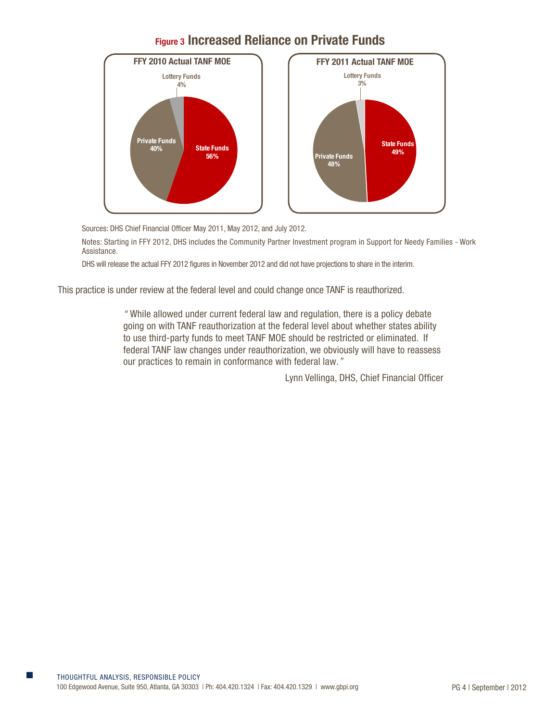



Sources: DHS Chief Financial Officer May 2011, May 2012, and July 2012.

Notes: Starting in FFY 2012, DHS includes the Community Partner Investment program in Support for Needy Families - Work Assistance.

DHS will release the actual FFY 2012 figures in November 2012 and did not have projections to share in the interim.

This practice is under review at the federal level and could change once TANF is reauthorized.

*"* While allowed under current federal law and regulation, there is a policy debate going on with TANF reauthorization at the federal level about whether states ability to use third-party funds to meet TANF MOE should be restricted or eliminated. If federal TANF law changes under reauthorization, we obviously will have to reassess our practices to remain in conformance with federal law*."*

Lynn Vellinga, DHS, Chief Financial Officer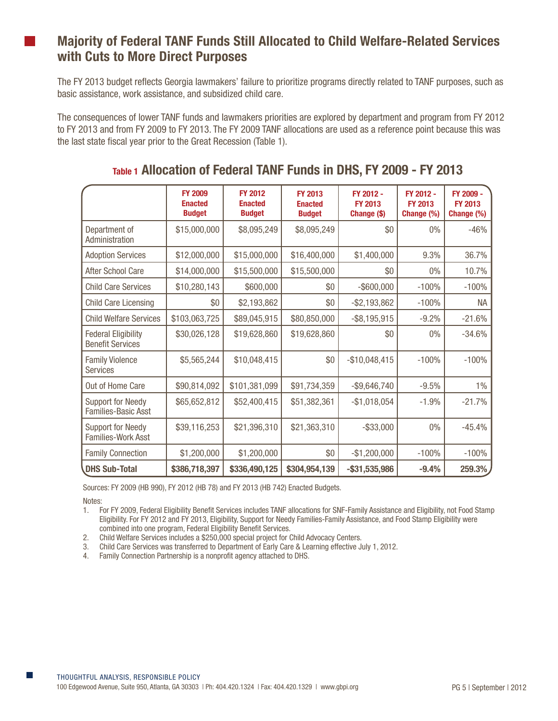## **Majority of Federal TANF Funds Still Allocated to Child Welfare-Related Services with Cuts to More Direct Purposes**

The FY 2013 budget reflects Georgia lawmakers' failure to prioritize programs directly related to TANF purposes, such as basic assistance, work assistance, and subsidized child care.

The consequences of lower TANF funds and lawmakers priorities are explored by department and program from FY 2012 to FY 2013 and from FY 2009 to FY 2013. The FY 2009 TANF allocations are used as a reference point because this was the last state fiscal year prior to the Great Recession (Table 1).

|                                                        | <b>FY 2009</b><br><b>Enacted</b><br><b>Budget</b> | <b>FY 2012</b><br><b>Enacted</b><br><b>Budget</b> | <b>FY 2013</b><br><b>Enacted</b><br><b>Budget</b> | FY 2012 -<br><b>FY 2013</b><br>Change (\$) | FY 2012 -<br><b>FY 2013</b><br>Change (%) | FY 2009 -<br><b>FY 2013</b><br>Change (%) |
|--------------------------------------------------------|---------------------------------------------------|---------------------------------------------------|---------------------------------------------------|--------------------------------------------|-------------------------------------------|-------------------------------------------|
| Department of<br>Administration                        | \$15,000,000                                      | \$8,095,249                                       | \$8,095,249                                       | \$0                                        | 0%                                        | $-46%$                                    |
| <b>Adoption Services</b>                               | \$12,000,000                                      | \$15,000,000                                      | \$16,400,000                                      | \$1,400,000                                | 9.3%                                      | 36.7%                                     |
| After School Care                                      | \$14,000,000                                      | \$15,500,000                                      | \$15,500,000                                      | \$0                                        | 0%                                        | 10.7%                                     |
| <b>Child Care Services</b>                             | \$10,280,143                                      | \$600,000                                         | \$0                                               | $-$ \$600,000                              | $-100%$                                   | $-100%$                                   |
| Child Care Licensing                                   | \$0                                               | \$2,193,862                                       | \$0                                               | $-$ \$2,193,862                            | $-100%$                                   | <b>NA</b>                                 |
| <b>Child Welfare Services</b>                          | \$103,063,725                                     | \$89,045,915                                      | \$80,850,000                                      | $-$ \$8,195,915                            | $-9.2%$                                   | $-21.6%$                                  |
| <b>Federal Eligibility</b><br><b>Benefit Services</b>  | \$30,026,128                                      | \$19,628,860                                      | \$19,628,860                                      | \$0                                        | 0%                                        | $-34.6%$                                  |
| <b>Family Violence</b><br><b>Services</b>              | \$5,565,244                                       | \$10,048,415                                      | \$0                                               | $-$10,048,415$                             | $-100%$                                   | $-100%$                                   |
| Out of Home Care                                       | \$90,814,092                                      | \$101,381,099                                     | \$91,734,359                                      | $-$9,646,740$                              | $-9.5%$                                   | $1\%$                                     |
| <b>Support for Needy</b><br><b>Families-Basic Asst</b> | \$65,652,812                                      | \$52,400,415                                      | \$51,382,361                                      | $-$1,018,054$                              | $-1.9%$                                   | $-21.7%$                                  |
| <b>Support for Needy</b><br>Families-Work Asst         | \$39,116,253                                      | \$21,396,310                                      | \$21,363,310                                      | $-$ \$33,000                               | $0\%$                                     | $-45.4%$                                  |
| <b>Family Connection</b>                               | \$1,200,000                                       | \$1,200,000                                       | \$0                                               | $-$1,200,000$                              | $-100%$                                   | $-100%$                                   |
| <b>DHS Sub-Total</b>                                   | \$386,718,397                                     | \$336,490,125                                     | \$304,954,139                                     | $-$ \$31,535,986                           | $-9.4%$                                   | 259.3%                                    |

## **Table 1 Allocation of Federal TANF Funds in DHS, FY 2009 - FY 2013**

Sources: FY 2009 (HB 990), FY 2012 (HB 78) and FY 2013 (HB 742) Enacted Budgets.

Notes:

1. For FY 2009, Federal Eligibility Benefit Services includes TANF allocations for SNF-Family Assistance and Eligibility, not Food Stamp Eligibility. For FY 2012 and FY 2013, Eligibility, Support for Needy Families-Family Assistance, and Food Stamp Eligibility were combined into one program, Federal Eligibility Benefit Services.

- 2. Child Welfare Services includes a \$250,000 special project for Child Advocacy Centers.
- 3. Child Care Services was transferred to Department of Early Care & Learning effective July 1, 2012.
- 4. Family Connection Partnership is a nonprofit agency attached to DHS.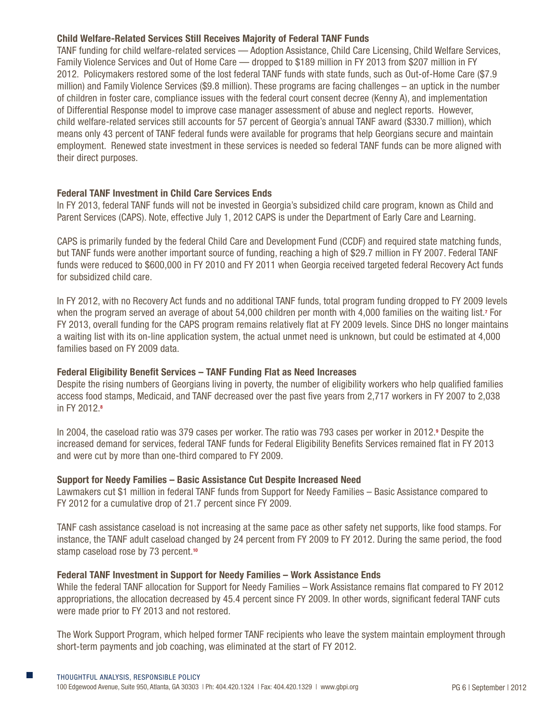#### **Child Welfare-Related Services Still Receives Majority of Federal TANF Funds**

TANF funding for child welfare-related services — Adoption Assistance, Child Care Licensing, Child Welfare Services, Family Violence Services and Out of Home Care — dropped to \$189 million in FY 2013 from \$207 million in FY 2012. Policymakers restored some of the lost federal TANF funds with state funds, such as Out-of-Home Care (\$7.9 million) and Family Violence Services (\$9.8 million). These programs are facing challenges – an uptick in the number of children in foster care, compliance issues with the federal court consent decree (Kenny A), and implementation of Differential Response model to improve case manager assessment of abuse and neglect reports. However, child welfare-related services still accounts for 57 percent of Georgia's annual TANF award (\$330.7 million), which means only 43 percent of TANF federal funds were available for programs that help Georgians secure and maintain employment. Renewed state investment in these services is needed so federal TANF funds can be more aligned with their direct purposes.

#### **Federal TANF Investment in Child Care Services Ends**

In FY 2013, federal TANF funds will not be invested in Georgia's subsidized child care program, known as Child and Parent Services (CAPS). Note, effective July 1, 2012 CAPS is under the Department of Early Care and Learning.

CAPS is primarily funded by the federal Child Care and Development Fund (CCDF) and required state matching funds, but TANF funds were another important source of funding, reaching a high of \$29.7 million in FY 2007. Federal TANF funds were reduced to \$600,000 in FY 2010 and FY 2011 when Georgia received targeted federal Recovery Act funds for subsidized child care.

In FY 2012, with no Recovery Act funds and no additional TANF funds, total program funding dropped to FY 2009 levels when the program served an average of about 54,000 children per month with 4,000 families on the waiting list.<sup>7</sup> For FY 2013, overall funding for the CAPS program remains relatively flat at FY 2009 levels. Since DHS no longer maintains a waiting list with its on-line application system, the actual unmet need is unknown, but could be estimated at 4,000 families based on FY 2009 data.

#### **Federal Eligibility Benefit Services – TANF Funding Flat as Need Increases**

Despite the rising numbers of Georgians living in poverty, the number of eligibility workers who help qualified families access food stamps, Medicaid, and TANF decreased over the past five years from 2,717 workers in FY 2007 to 2,038 in FY 2012.**<sup>8</sup>**

In 2004, the caseload ratio was 379 cases per worker. The ratio was 793 cases per worker in 2012.**<sup>9</sup>** Despite the increased demand for services, federal TANF funds for Federal Eligibility Benefits Services remained flat in FY 2013 and were cut by more than one-third compared to FY 2009.

#### **Support for Needy Families – Basic Assistance Cut Despite Increased Need**

Lawmakers cut \$1 million in federal TANF funds from Support for Needy Families – Basic Assistance compared to FY 2012 for a cumulative drop of 21.7 percent since FY 2009.

TANF cash assistance caseload is not increasing at the same pace as other safety net supports, like food stamps. For instance, the TANF adult caseload changed by 24 percent from FY 2009 to FY 2012. During the same period, the food stamp caseload rose by 73 percent.**<sup>10</sup>**

#### **Federal TANF Investment in Support for Needy Families – Work Assistance Ends**

While the federal TANF allocation for Support for Needy Families – Work Assistance remains flat compared to FY 2012 appropriations, the allocation decreased by 45.4 percent since FY 2009. In other words, significant federal TANF cuts were made prior to FY 2013 and not restored.

The Work Support Program, which helped former TANF recipients who leave the system maintain employment through short-term payments and job coaching, was eliminated at the start of FY 2012.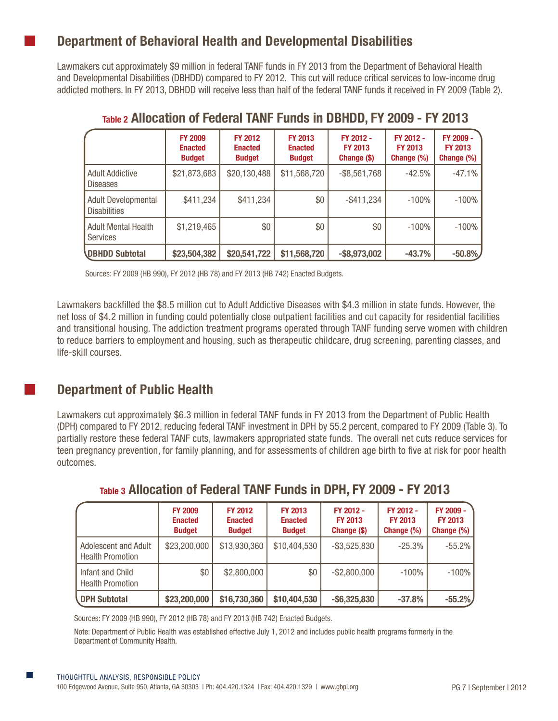## **Department of Behavioral Health and Developmental Disabilities**

Lawmakers cut approximately \$9 million in federal TANF funds in FY 2013 from the Department of Behavioral Health and Developmental Disabilities (DBHDD) compared to FY 2012. This cut will reduce critical services to low-income drug addicted mothers. In FY 2013, DBHDD will receive less than half of the federal TANF funds it received in FY 2009 (Table 2).

|                                               | <b>FY 2009</b><br><b>Enacted</b><br><b>Budget</b> | <b>FY 2012</b><br><b>Enacted</b><br><b>Budget</b> | <b>FY 2013</b><br><b>Enacted</b><br><b>Budget</b> | FY 2012 -<br><b>FY 2013</b><br>Change (\$) | FY 2012 -<br><b>FY 2013</b><br>Change (%) | FY 2009 -<br><b>FY 2013</b><br>Change (%) |
|-----------------------------------------------|---------------------------------------------------|---------------------------------------------------|---------------------------------------------------|--------------------------------------------|-------------------------------------------|-------------------------------------------|
| <b>Adult Addictive</b><br><b>Diseases</b>     | \$21,873,683                                      | \$20,130,488                                      | \$11,568,720                                      | $-$ \$8,561,768                            | $-42.5%$                                  | $-47.1%$                                  |
| Adult Developmental<br><b>Disabilities</b>    | \$411,234                                         | \$411,234                                         | \$0                                               | $-$ \$411,234                              | $-100\%$                                  | $-100%$                                   |
| <b>Adult Mental Health</b><br><b>Services</b> | \$1,219,465                                       | \$0                                               | \$0                                               | \$0                                        | $-100\%$                                  | $-100%$                                   |
| <b>DBHDD Subtotal</b>                         | \$23,504,382                                      | \$20,541,722                                      | \$11,568,720                                      | $-$ \$8,973,002                            | $-43.7%$                                  | $-50.8%$                                  |

## **Table 2 Allocation of Federal TANF Funds in DBHDD, FY 2009 - FY 2013**

Sources: FY 2009 (HB 990), FY 2012 (HB 78) and FY 2013 (HB 742) Enacted Budgets.

Lawmakers backfilled the \$8.5 million cut to Adult Addictive Diseases with \$4.3 million in state funds. However, the net loss of \$4.2 million in funding could potentially close outpatient facilities and cut capacity for residential facilities and transitional housing. The addiction treatment programs operated through TANF funding serve women with children to reduce barriers to employment and housing, such as therapeutic childcare, drug screening, parenting classes, and life-skill courses.

## **Department of Public Health**

Lawmakers cut approximately \$6.3 million in federal TANF funds in FY 2013 from the Department of Public Health (DPH) compared to FY 2012, reducing federal TANF investment in DPH by 55.2 percent, compared to FY 2009 (Table 3). To partially restore these federal TANF cuts, lawmakers appropriated state funds. The overall net cuts reduce services for teen pregnancy prevention, for family planning, and for assessments of children age birth to five at risk for poor health outcomes.

|                                                 | <b>FY 2009</b><br><b>Enacted</b><br><b>Budget</b> | <b>FY 2012</b><br><b>Enacted</b><br><b>Budget</b> | <b>FY 2013</b><br><b>Enacted</b><br><b>Budget</b> | FY 2012 -<br><b>FY 2013</b><br>Change (\$) | FY 2012 -<br><b>FY 2013</b><br>Change (%) | FY 2009 -<br><b>FY 2013</b><br>Change $(\%)$ |
|-------------------------------------------------|---------------------------------------------------|---------------------------------------------------|---------------------------------------------------|--------------------------------------------|-------------------------------------------|----------------------------------------------|
| Adolescent and Adult<br><b>Health Promotion</b> | \$23,200,000                                      | \$13,930,360                                      | \$10,404,530                                      | $-$ \$3,525,830                            | $-25.3%$                                  | $-55.2\%$                                    |
| Infant and Child<br><b>Health Promotion</b>     | \$0                                               | \$2,800,000                                       | \$0                                               | $-$ \$2,800,000                            | $-100%$                                   | $-100\%$                                     |
| <b>DPH Subtotal</b>                             | \$23,200,000                                      | \$16,730,360                                      | \$10,404,530                                      | $-$ \$6,325,830                            | $-37.8%$                                  | $-55.2%$                                     |

## **Table 3 Allocation of Federal TANF Funds in DPH, FY 2009 - FY 2013**

Sources: FY 2009 (HB 990), FY 2012 (HB 78) and FY 2013 (HB 742) Enacted Budgets.

Note: Department of Public Health was established effective July 1, 2012 and includes public health programs formerly in the Department of Community Health.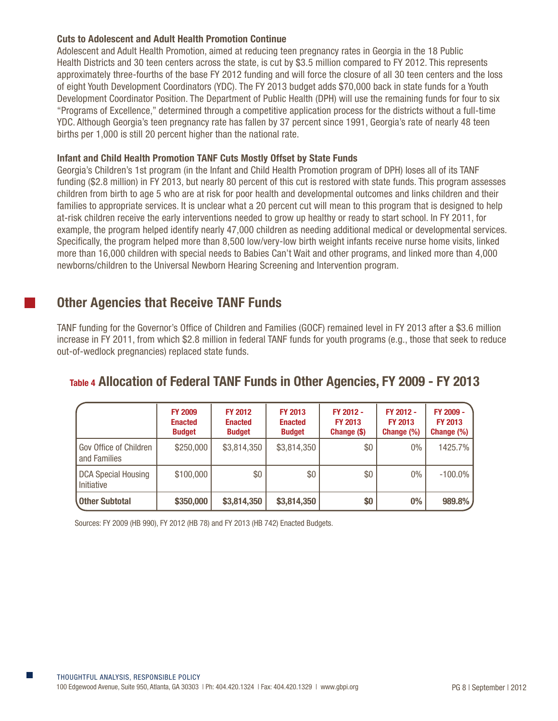#### **Cuts to Adolescent and Adult Health Promotion Continue**

Adolescent and Adult Health Promotion, aimed at reducing teen pregnancy rates in Georgia in the 18 Public Health Districts and 30 teen centers across the state, is cut by \$3.5 million compared to FY 2012. This represents approximately three-fourths of the base FY 2012 funding and will force the closure of all 30 teen centers and the loss of eight Youth Development Coordinators (YDC). The FY 2013 budget adds \$70,000 back in state funds for a Youth Development Coordinator Position. The Department of Public Health (DPH) will use the remaining funds for four to six "Programs of Excellence," determined through a competitive application process for the districts without a full-time YDC. Although Georgia's teen pregnancy rate has fallen by 37 percent since 1991, Georgia's rate of nearly 48 teen births per 1,000 is still 20 percent higher than the national rate.

#### **Infant and Child Health Promotion TANF Cuts Mostly Offset by State Funds**

Georgia's Children's 1st program (in the Infant and Child Health Promotion program of DPH) loses all of its TANF funding (\$2.8 million) in FY 2013, but nearly 80 percent of this cut is restored with state funds. This program assesses children from birth to age 5 who are at risk for poor health and developmental outcomes and links children and their families to appropriate services. It is unclear what a 20 percent cut will mean to this program that is designed to help at-risk children receive the early interventions needed to grow up healthy or ready to start school. In FY 2011, for example, the program helped identify nearly 47,000 children as needing additional medical or developmental services. Specifically, the program helped more than 8,500 low/very-low birth weight infants receive nurse home visits, linked more than 16,000 children with special needs to Babies Can't Wait and other programs, and linked more than 4,000 newborns/children to the Universal Newborn Hearing Screening and Intervention program.

## **Other Agencies that Receive TANF Funds**

TANF funding for the Governor's Office of Children and Families (GOCF) remained level in FY 2013 after a \$3.6 million increase in FY 2011, from which \$2.8 million in federal TANF funds for youth programs (e.g., those that seek to reduce out-of-wedlock pregnancies) replaced state funds.

## **Table 4 Allocation of Federal TANF Funds in Other Agencies, FY 2009 - FY 2013**

|                                          | <b>FY 2009</b><br><b>Enacted</b><br><b>Budget</b> | <b>FY 2012</b><br><b>Enacted</b><br><b>Budget</b> | <b>FY 2013</b><br><b>Enacted</b><br><b>Budget</b> | FY 2012 -<br><b>FY 2013</b><br>Change (\$) | FY 2012 -<br><b>FY 2013</b><br>Change (%) | FY 2009 -<br><b>FY 2013</b><br>Change (%) |
|------------------------------------------|---------------------------------------------------|---------------------------------------------------|---------------------------------------------------|--------------------------------------------|-------------------------------------------|-------------------------------------------|
| Gov Office of Children<br>and Families   | \$250,000                                         | \$3,814,350                                       | \$3,814,350                                       | \$0                                        | $0\%$                                     | 1425.7%                                   |
| <b>DCA Special Housing</b><br>Initiative | \$100,000                                         | \$0                                               | \$0                                               | \$0                                        | $0\%$                                     | $-100.0\%$                                |
| <b>Other Subtotal</b>                    | \$350,000                                         | \$3,814,350                                       | \$3,814,350                                       | \$0                                        | 0%                                        | 989.8%                                    |

Sources: FY 2009 (HB 990), FY 2012 (HB 78) and FY 2013 (HB 742) Enacted Budgets.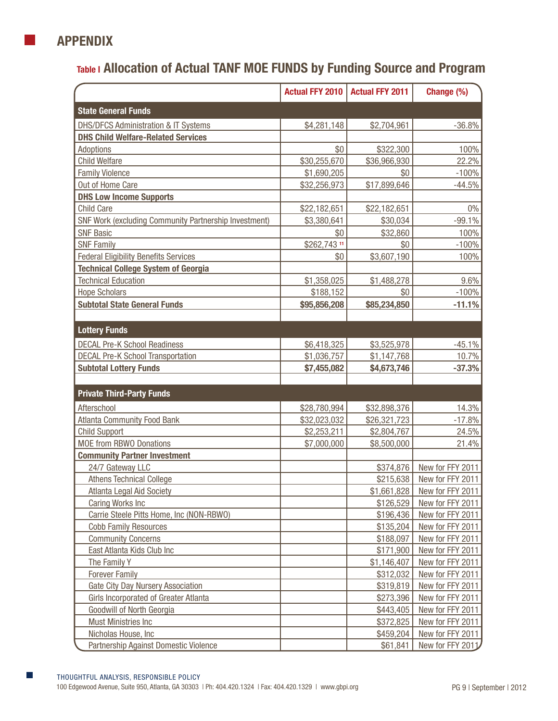

# **Table I Allocation of Actual TANF MOE FUNDS by Funding Source and Program**

|                                                       |              | Actual FFY 2010   Actual FFY 2011 | Change (%)       |
|-------------------------------------------------------|--------------|-----------------------------------|------------------|
| <b>State General Funds</b>                            |              |                                   |                  |
| <b>DHS/DFCS Administration &amp; IT Systems</b>       | \$4,281,148  | \$2,704,961                       | $-36.8%$         |
| <b>DHS Child Welfare-Related Services</b>             |              |                                   |                  |
| Adoptions                                             | \$0          | \$322,300                         | 100%             |
| <b>Child Welfare</b>                                  | \$30,255,670 | \$36,966,930                      | 22.2%            |
| <b>Family Violence</b>                                | \$1,690,205  | \$0                               | $-100%$          |
| Out of Home Care                                      | \$32,256,973 | \$17,899,646                      | $-44.5%$         |
| <b>DHS Low Income Supports</b>                        |              |                                   |                  |
| <b>Child Care</b>                                     | \$22,182,651 | \$22,182,651                      | $0\%$            |
| SNF Work (excluding Community Partnership Investment) | \$3,380,641  | \$30,034                          | $-99.1%$         |
| <b>SNF Basic</b>                                      | \$0          | \$32,860                          | 100%             |
| <b>SNF Family</b>                                     | \$262,743 11 | \$0                               | $-100%$          |
| <b>Federal Eligibility Benefits Services</b>          | \$0          | \$3,607,190                       | 100%             |
| <b>Technical College System of Georgia</b>            |              |                                   |                  |
| <b>Technical Education</b>                            | \$1,358,025  | \$1,488,278                       | 9.6%             |
| <b>Hope Scholars</b>                                  | \$188,152    | \$0                               | $-100%$          |
| <b>Subtotal State General Funds</b>                   | \$95,856,208 | \$85,234,850                      | $-11.1%$         |
| <b>Lottery Funds</b>                                  |              |                                   |                  |
| <b>DECAL Pre-K School Readiness</b>                   | \$6,418,325  | \$3,525,978                       | $-45.1%$         |
| <b>DECAL Pre-K School Transportation</b>              | \$1,036,757  | \$1,147,768                       | 10.7%            |
| <b>Subtotal Lottery Funds</b>                         | \$7,455,082  | \$4,673,746                       | $-37.3%$         |
|                                                       |              |                                   |                  |
| <b>Private Third-Party Funds</b>                      |              |                                   |                  |
| Afterschool                                           | \$28,780,994 | \$32,898,376                      | 14.3%            |
| <b>Atlanta Community Food Bank</b>                    | \$32,023,032 | \$26,321,723                      | $-17.8%$         |
| <b>Child Support</b>                                  | \$2,253,211  | \$2,804,767                       | 24.5%            |
| <b>MOE from RBWO Donations</b>                        | \$7,000,000  | \$8,500,000                       | 21.4%            |
| <b>Community Partner Investment</b>                   |              |                                   |                  |
| 24/7 Gateway LLC                                      |              | \$374,876                         | New for FFY 2011 |
| <b>Athens Technical College</b>                       |              | \$215,638                         | New for FFY 2011 |
| Atlanta Legal Aid Society                             |              | \$1,661,828                       | New for FFY 2011 |
| <b>Caring Works Inc</b>                               |              | \$126,529                         | New for FFY 2011 |
| Carrie Steele Pitts Home, Inc (NON-RBWO)              |              | \$196,436                         | New for FFY 2011 |
| <b>Cobb Family Resources</b>                          |              | \$135,204                         | New for FFY 2011 |
| <b>Community Concerns</b>                             |              | \$188,097                         | New for FFY 2011 |
| East Atlanta Kids Club Inc                            |              | \$171,900                         | New for FFY 2011 |
| The Family Y                                          |              | \$1,146,407                       | New for FFY 2011 |
| <b>Forever Family</b>                                 |              | \$312,032                         | New for FFY 2011 |
| <b>Gate City Day Nursery Association</b>              |              | \$319,819                         | New for FFY 2011 |
| Girls Incorporated of Greater Atlanta                 |              | \$273,396                         | New for FFY 2011 |
| Goodwill of North Georgia                             |              | \$443,405                         | New for FFY 2011 |
| Must Ministries Inc                                   |              | \$372,825                         | New for FFY 2011 |
| Nicholas House, Inc                                   |              | \$459,204                         | New for FFY 2011 |
| Partnership Against Domestic Violence                 |              | \$61,841                          | New for FFY 2011 |

П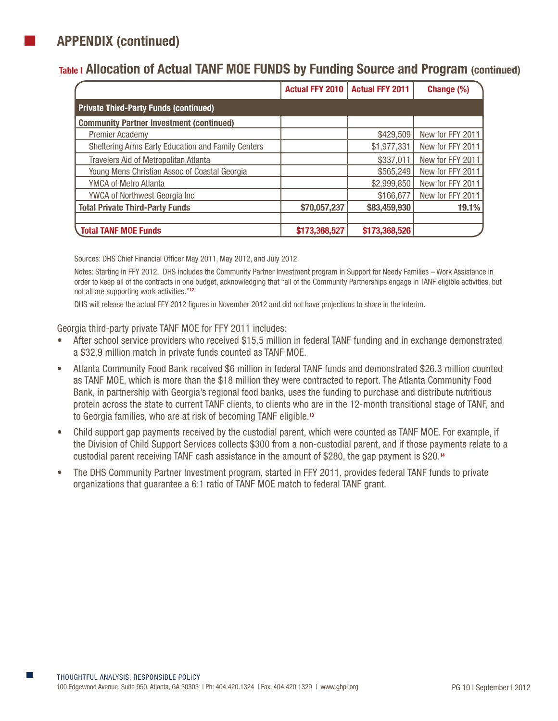# **APPENDIX (continued)**

## **Table I Allocation of Actual TANF MOE FUNDS by Funding Source and Program (continued)**

|                                                    | <b>Actual FFY 2010</b> | <b>Actual FFY 2011</b> | Change (%)       |
|----------------------------------------------------|------------------------|------------------------|------------------|
| <b>Private Third-Party Funds (continued)</b>       |                        |                        |                  |
| <b>Community Partner Investment (continued)</b>    |                        |                        |                  |
| <b>Premier Academy</b>                             |                        | \$429,509              | New for FFY 2011 |
| Sheltering Arms Early Education and Family Centers |                        | \$1,977,331            | New for FFY 2011 |
| <b>Travelers Aid of Metropolitan Atlanta</b>       |                        | \$337,011              | New for FFY 2011 |
| Young Mens Christian Assoc of Coastal Georgia      |                        | \$565,249              | New for FFY 2011 |
| <b>YMCA of Metro Atlanta</b>                       |                        | \$2,999,850            | New for FFY 2011 |
| <b>YWCA of Northwest Georgia Inc.</b>              |                        | \$166,677              | New for FFY 2011 |
| <b>Total Private Third-Party Funds</b>             | \$70,057,237           | \$83,459,930           | 19.1%            |
|                                                    |                        |                        |                  |
| <b>Total TANF MOE Funds</b>                        | \$173,368,527          | \$173,368,526          |                  |

Sources: DHS Chief Financial Officer May 2011, May 2012, and July 2012.

Notes: Starting in FFY 2012, DHS includes the Community Partner Investment program in Support for Needy Families – Work Assistance in order to keep all of the contracts in one budget, acknowledging that "all of the Community Partnerships engage in TANF eligible activities, but not all are supporting work activities."**<sup>12</sup>**

DHS will release the actual FFY 2012 figures in November 2012 and did not have projections to share in the interim.

Georgia third-party private TANF MOE for FFY 2011 includes:

- After school service providers who received \$15.5 million in federal TANF funding and in exchange demonstrated a \$32.9 million match in private funds counted as TANF MOE.
- Atlanta Community Food Bank received \$6 million in federal TANF funds and demonstrated \$26.3 million counted as TANF MOE, which is more than the \$18 million they were contracted to report. The Atlanta Community Food Bank, in partnership with Georgia's regional food banks, uses the funding to purchase and distribute nutritious protein across the state to current TANF clients, to clients who are in the 12-month transitional stage of TANF, and to Georgia families, who are at risk of becoming TANF eligible.**<sup>13</sup>**
- Child support gap payments received by the custodial parent, which were counted as TANF MOE. For example, if the Division of Child Support Services collects \$300 from a non-custodial parent, and if those payments relate to a custodial parent receiving TANF cash assistance in the amount of \$280, the gap payment is \$20.**<sup>14</sup>**
- The DHS Community Partner Investment program, started in FFY 2011, provides federal TANF funds to private organizations that guarantee a 6:1 ratio of TANF MOE match to federal TANF grant.